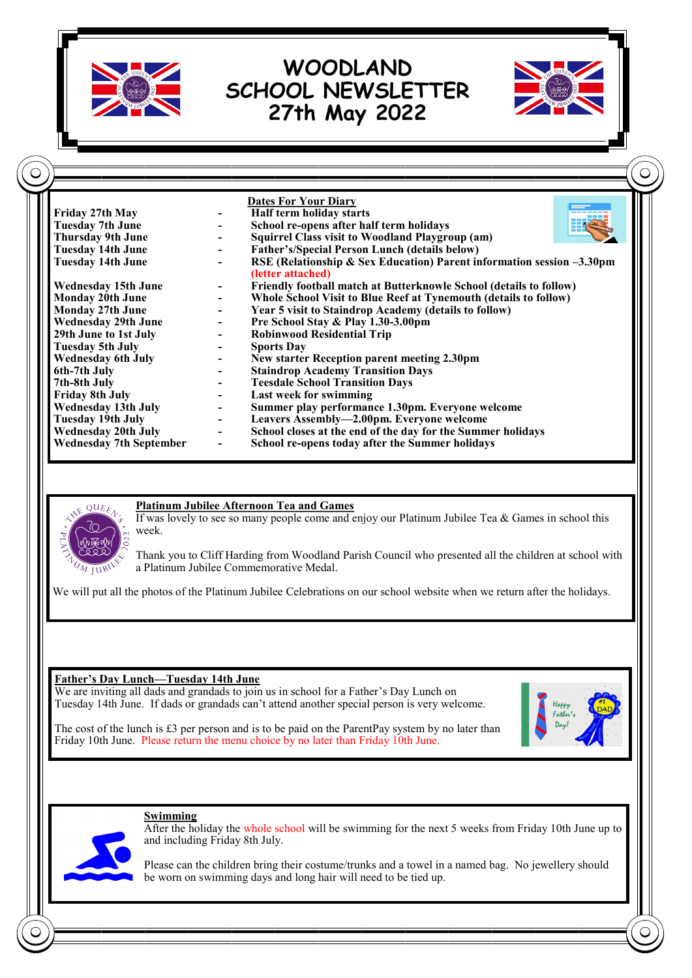

**School re-opens today after the Summer holidays** 



#### **Platinum Jubilee Afternoon Tea and Games**

If was lovely to see so many people come and enjoy our Platinum Jubilee Tea & Games in school this week.

Thank you to Cliff Harding from Woodland Parish Council who presented all the children at school with a Platinum Jubilee Commemorative Medal.

We will put all the photos of the Platinum Jubilee Celebrations on our school website when we return after the holidays.

#### **Father's Day Lunch—Tuesday 14th June**

We are inviting all dads and grandads to join us in school for a Father's Day Lunch on Tuesday 14th June. If dads or grandads can't attend another special person is very welcome.

The cost of the lunch is  $\pounds 3$  per person and is to be paid on the ParentPay system by no later than Friday 10th June. Please return the menu choice by no later than Friday 10th June.





**Swimming** After the holiday the whole school will be swimming for the next 5 weeks from Friday 10th June up to and including Friday 8th July.

Please can the children bring their costume/trunks and a towel in a named bag. No jewellery should be worn on swimming days and long hair will need to be tied up.